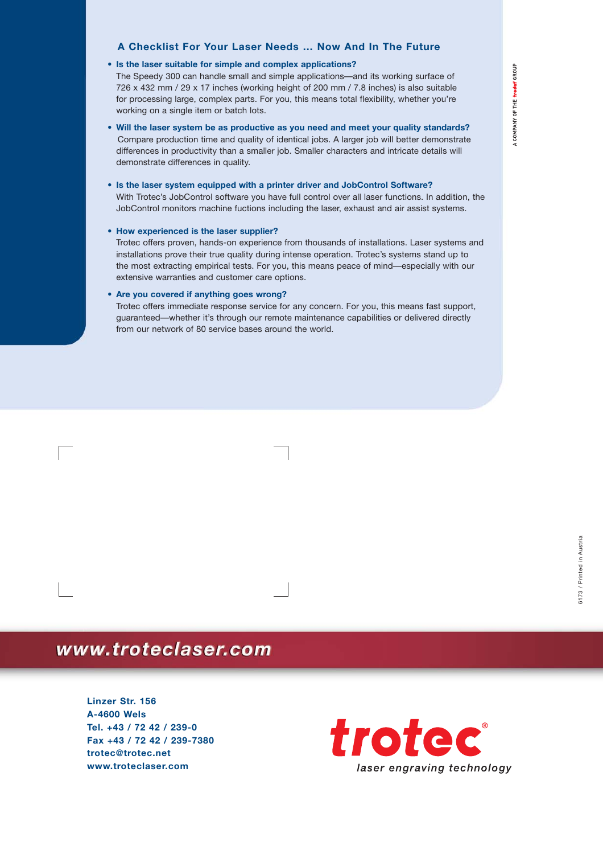#### **A Checklist For Your Laser Needs … Now And In The Future**

#### **• Is the laser suitable for simple and complex applications?**

The Speedy 300 can handle small and simple applications—and its working surface of 726 x 432 mm / 29 x 17 inches (working height of 200 mm / 7.8 inches) is also suitable for processing large, complex parts. For you, this means total flexibility, whether you're working on a single item or batch lots.

- **Will the laser system be as productive as you need and meet your quality standards?** Compare production time and quality of identical jobs. A larger job will better demonstrate differences in productivity than a smaller job. Smaller characters and intricate details will demonstrate differences in quality.
- **Is the laser system equipped with a printer driver and JobControl Software?** With Trotec's JobControl software you have full control over all laser functions. In addition, the JobControl monitors machine fuctions including the laser, exhaust and air assist systems.

#### **• How experienced is the laser supplier?**

Trotec offers proven, hands-on experience from thousands of installations. Laser systems and installations prove their true quality during intense operation. Trotec's systems stand up to the most extracting empirical tests. For you, this means peace of mind—especially with our extensive warranties and customer care options.

#### **• Are you covered if anything goes wrong?**

Trotec offers immediate response service for any concern. For you, this means fast support, guaranteed—whether it's through our remote maintenance capabilities or delivered directly from our network of 80 service bases around the world.

## www.troteclaser.com

**Linzer Str. 156 A-4600 Wels Tel. +43 / 72 42 / 239-0 Fax +43 / 72 42 / 239-7380 trotec@trotec.net www.troteclaser.com**

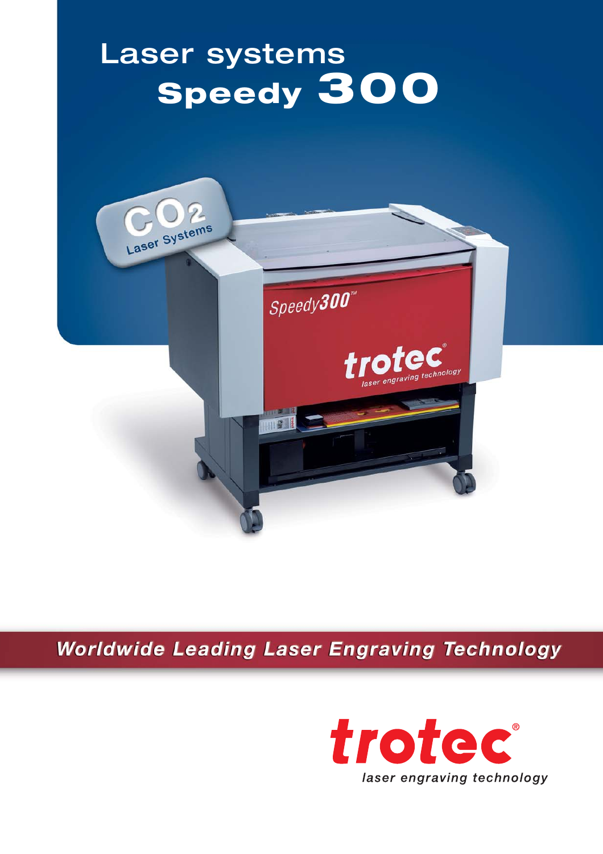# Laser systems **Speedy 300**



**Worldwide Leading Laser Engraving Technology** 

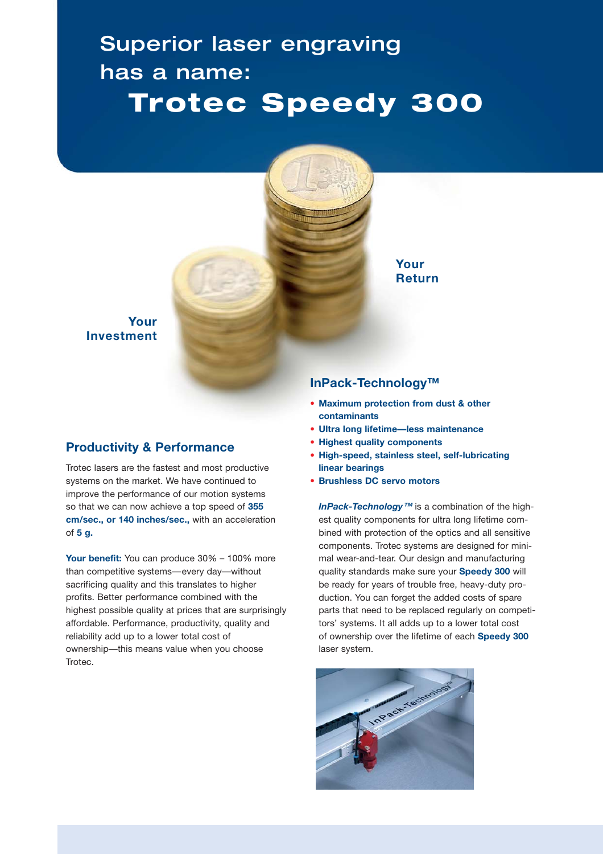# Superior laser engraving has a name: **Trotec Speedy 300**



**Your Investment**

### **Productivity & Performance**

Trotec lasers are the fastest and most productive systems on the market. We have continued to improve the performance of our motion systems so that we can now achieve a top speed of **355 cm/sec., or 140 inches/sec.,** with an acceleration of **5 g.** 

**Your benefit:** You can produce 30% – 100% more than competitive systems—every day—without sacrificing quality and this translates to higher profits. Better performance combined with the highest possible quality at prices that are surprisingly affordable. Performance, productivity, quality and reliability add up to a lower total cost of ownership—this means value when you choose Trotec.

### **InPack-Technology™**

- **• Maximum protection from dust & other contaminants**
- **• Ultra long lifetime—less maintenance**
- **• Highest quality components**
- **• High-speed, stainless steel, self-lubricating linear bearings**
- **• Brushless DC servo motors**

*InPack-Technology***™** is a combination of the highest quality components for ultra long lifetime combined with protection of the optics and all sensitive components. Trotec systems are designed for minimal wear-and-tear. Our design and manufacturing quality standards make sure your **Speedy 300** will be ready for years of trouble free, heavy-duty production. You can forget the added costs of spare parts that need to be replaced regularly on competitors' systems. It all adds up to a lower total cost of ownership over the lifetime of each **Speedy 300** laser system.

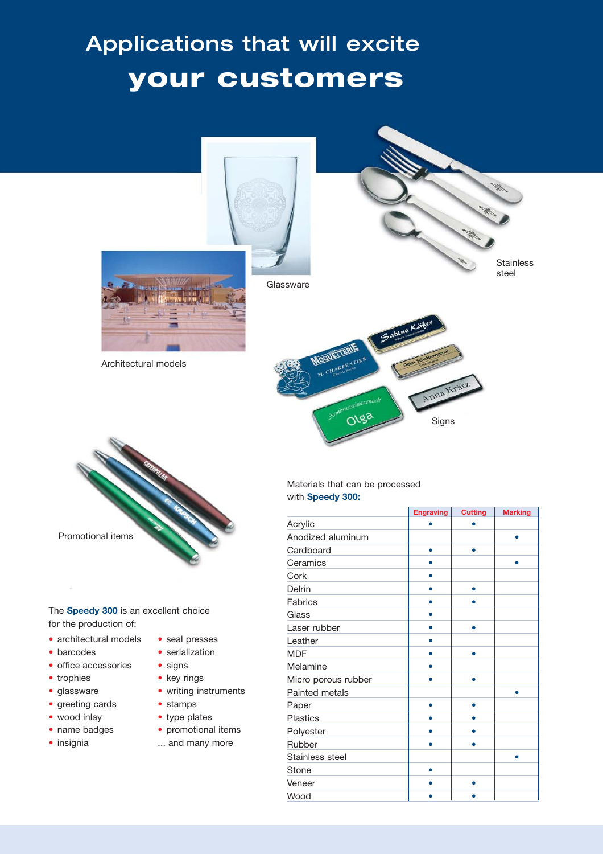# Applications that will excite **your customers**



**Glassware** 



Architectural models

**Stainless** steel





The **Speedy 300** is an excellent choice for the production of:

- architectural models
- barcodes
- office accessories
- trophies
- glassware
- greeting cards
- wood inlay
- name badges
- insignia
- seal presses
- serialization
- signs
- key rings
- writing instruments
- stamps
- type plates
- promotional items
- ... and many more

#### Materials that can be processed with **Speedy 300:**

|                     | Engraving | <b>Cutting</b> | <b>Marking</b> |
|---------------------|-----------|----------------|----------------|
| Acrylic             |           |                |                |
| Anodized aluminum   |           |                |                |
| Cardboard           |           |                |                |
| Ceramics            |           |                | ٠              |
| Cork                |           |                |                |
| Delrin              |           |                |                |
| <b>Fabrics</b>      |           |                |                |
| Glass               |           |                |                |
| Laser rubber        |           |                |                |
| Leather             |           |                |                |
| <b>MDF</b>          |           |                |                |
| Melamine            |           |                |                |
| Micro porous rubber |           |                |                |
| Painted metals      |           |                |                |
| Paper               |           | 6              |                |
| <b>Plastics</b>     |           |                |                |
| Polyester           |           |                |                |
| Rubber              |           |                |                |
| Stainless steel     |           |                |                |
| Stone               |           |                |                |
| Veneer              |           |                |                |
| Wood                |           |                |                |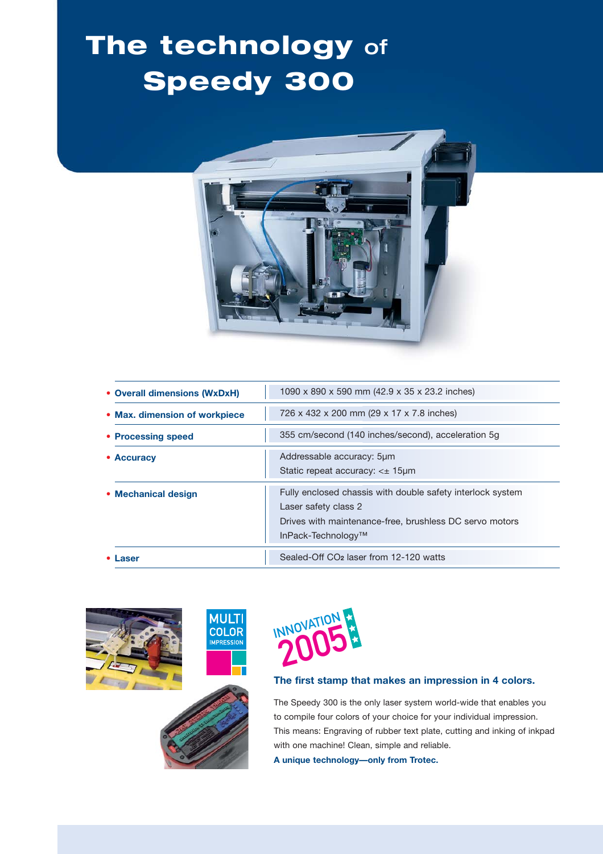# **The technology** of **Speedy 300**



| • Overall dimensions (WxDxH)  | 1090 x 890 x 590 mm (42.9 x 35 x 23.2 inches)                                                                                                                       |
|-------------------------------|---------------------------------------------------------------------------------------------------------------------------------------------------------------------|
| • Max. dimension of workpiece | 726 x 432 x 200 mm (29 x 17 x 7.8 inches)                                                                                                                           |
| • Processing speed            | 355 cm/second (140 inches/second), acceleration 5g                                                                                                                  |
| • Accuracy                    | Addressable accuracy: 5um<br>Static repeat accuracy: $\lt\pm$ 15 µm                                                                                                 |
| • Mechanical design           | Fully enclosed chassis with double safety interlock system<br>Laser safety class 2<br>Drives with maintenance-free, brushless DC servo motors<br>InPack-Technology™ |
| aser                          | Sealed-Off CO <sub>2</sub> laser from 12-120 watts                                                                                                                  |





### **The first stamp that makes an impression in 4 colors.**

The Speedy 300 is the only laser system world-wide that enables you to compile four colors of your choice for your individual impression. This means: Engraving of rubber text plate, cutting and inking of inkpad with one machine! Clean, simple and reliable. **A unique technology—only from Trotec.**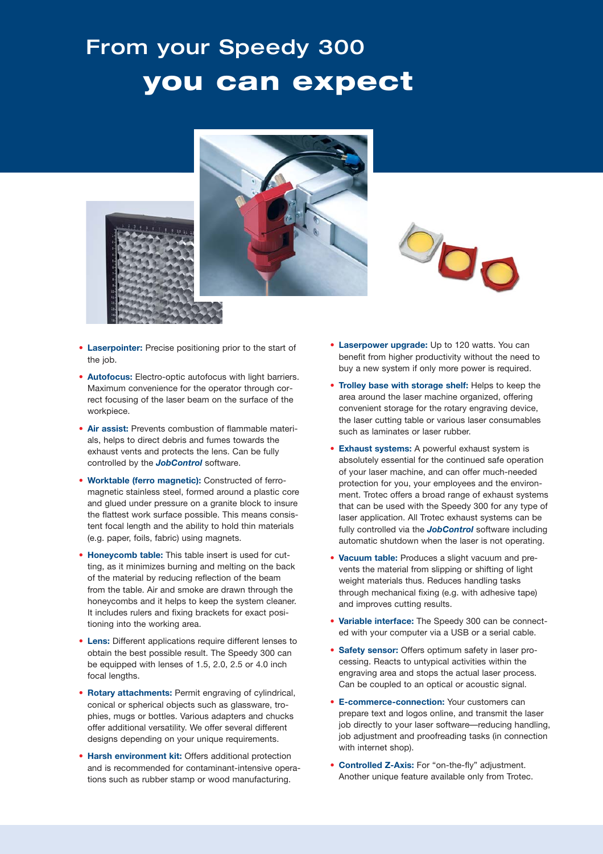# From your Speedy 300 **you can expect**





- **Laserpointer:** Precise positioning prior to the start of the job.
- **Autofocus:** Electro-optic autofocus with light barriers. Maximum convenience for the operator through correct focusing of the laser beam on the surface of the workpiece.
- **Air assist:** Prevents combustion of flammable materials, helps to direct debris and fumes towards the exhaust vents and protects the lens. Can be fully controlled by the *JobControl* software.
- **Worktable (ferro magnetic):** Constructed of ferromagnetic stainless steel, formed around a plastic core and glued under pressure on a granite block to insure the flattest work surface possible. This means consistent focal length and the ability to hold thin materials (e.g. paper, foils, fabric) using magnets.
- **Honeycomb table:** This table insert is used for cutting, as it minimizes burning and melting on the back of the material by reducing reflection of the beam from the table. Air and smoke are drawn through the honeycombs and it helps to keep the system cleaner. It includes rulers and fixing brackets for exact positioning into the working area.
- **Lens:** Different applications require different lenses to obtain the best possible result. The Speedy 300 can be equipped with lenses of 1.5, 2.0, 2.5 or 4.0 inch focal lengths.
- **Rotary attachments:** Permit engraving of cylindrical, conical or spherical objects such as glassware, trophies, mugs or bottles. Various adapters and chucks offer additional versatility. We offer several different designs depending on your unique requirements.
- **Harsh environment kit:** Offers additional protection and is recommended for contaminant-intensive operations such as rubber stamp or wood manufacturing.
- **Laserpower upgrade:** Up to 120 watts. You can benefit from higher productivity without the need to buy a new system if only more power is required.
- **Trolley base with storage shelf:** Helps to keep the area around the laser machine organized, offering convenient storage for the rotary engraving device, the laser cutting table or various laser consumables such as laminates or laser rubber.
- **Exhaust systems:** A powerful exhaust system is absolutely essential for the continued safe operation of your laser machine, and can offer much-needed protection for you, your employees and the environment. Trotec offers a broad range of exhaust systems that can be used with the Speedy 300 for any type of laser application. All Trotec exhaust systems can be fully controlled via the *JobControl* software including automatic shutdown when the laser is not operating.
- **Vacuum table:** Produces a slight vacuum and prevents the material from slipping or shifting of light weight materials thus. Reduces handling tasks through mechanical fixing (e.g. with adhesive tape) and improves cutting results.
- **Variable interface:** The Speedy 300 can be connected with your computer via a USB or a serial cable.
- **Safety sensor:** Offers optimum safety in laser processing. Reacts to untypical activities within the engraving area and stops the actual laser process. Can be coupled to an optical or acoustic signal.
- **E-commerce-connection:** Your customers can prepare text and logos online, and transmit the laser job directly to your laser software—reducing handling, job adjustment and proofreading tasks (in connection with internet shop).
- **Controlled Z-Axis:** For "on-the-fly" adjustment. Another unique feature available only from Trotec.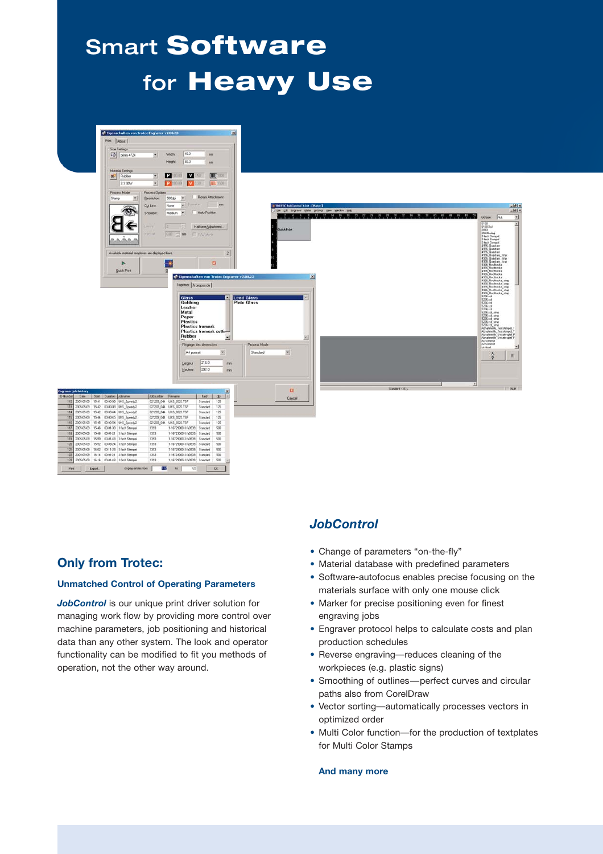# Smart **Software**  for **Heavy Use**



### **Only from Trotec:**

#### **Unmatched Control of Operating Parameters**

*JobControl* is our unique print driver solution for managing work flow by providing more control over machine parameters, job positioning and historical data than any other system. The look and operator functionality can be modified to fit you methods of operation, not the other way around.

### *JobControl*

- Change of parameters "on-the-fly"
- Material database with predefined parameters
- Software-autofocus enables precise focusing on the materials surface with only one mouse click
- Marker for precise positioning even for finest engraving jobs
- Engraver protocol helps to calculate costs and plan production schedules
- Reverse engraving—reduces cleaning of the workpieces (e.g. plastic signs)
- Smoothing of outlines—perfect curves and circular paths also from CorelDraw
- Vector sorting—automatically processes vectors in optimized order
- Multi Color function—for the production of textplates for Multi Color Stamps

#### **And many more**